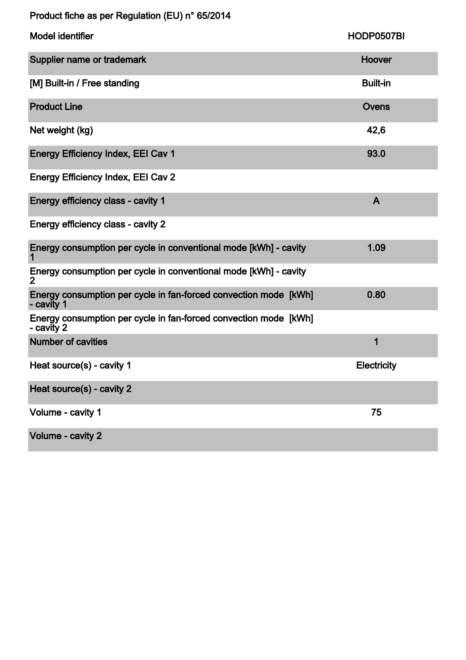|  |  | Product fiche as per Regulation (EU) n° 65/2014 |
|--|--|-------------------------------------------------|
|--|--|-------------------------------------------------|

| <b>Model identifier</b>                                                        | HODP0507BI         |
|--------------------------------------------------------------------------------|--------------------|
| Supplier name or trademark                                                     | Hoover             |
| [M] Built-in / Free standing                                                   | <b>Built-in</b>    |
| <b>Product Line</b>                                                            | Ovens              |
| Net weight (kg)                                                                | 42,6               |
| <b>Energy Efficiency Index, EEI Cav 1</b>                                      | 93.0               |
| <b>Energy Efficiency Index, EEI Cav 2</b>                                      |                    |
| Energy efficiency class - cavity 1                                             | $\mathsf{A}$       |
| Energy efficiency class - cavity 2                                             |                    |
| Energy consumption per cycle in conventional mode [kWh] - cavity               | 1.09               |
| Energy consumption per cycle in conventional mode [kWh] - cavity<br>2          |                    |
| Energy consumption per cycle in fan-forced convection mode [kWh]<br>- cavity 1 | 0.80               |
| Energy consumption per cycle in fan-forced convection mode [kWh]<br>- cavity 2 |                    |
| <b>Number of cavities</b>                                                      | 1                  |
| Heat source(s) - cavity 1                                                      | <b>Electricity</b> |
| Heat source(s) - cavity 2                                                      |                    |
| Volume - cavity 1                                                              | 75                 |
| Volume - cavity 2                                                              |                    |